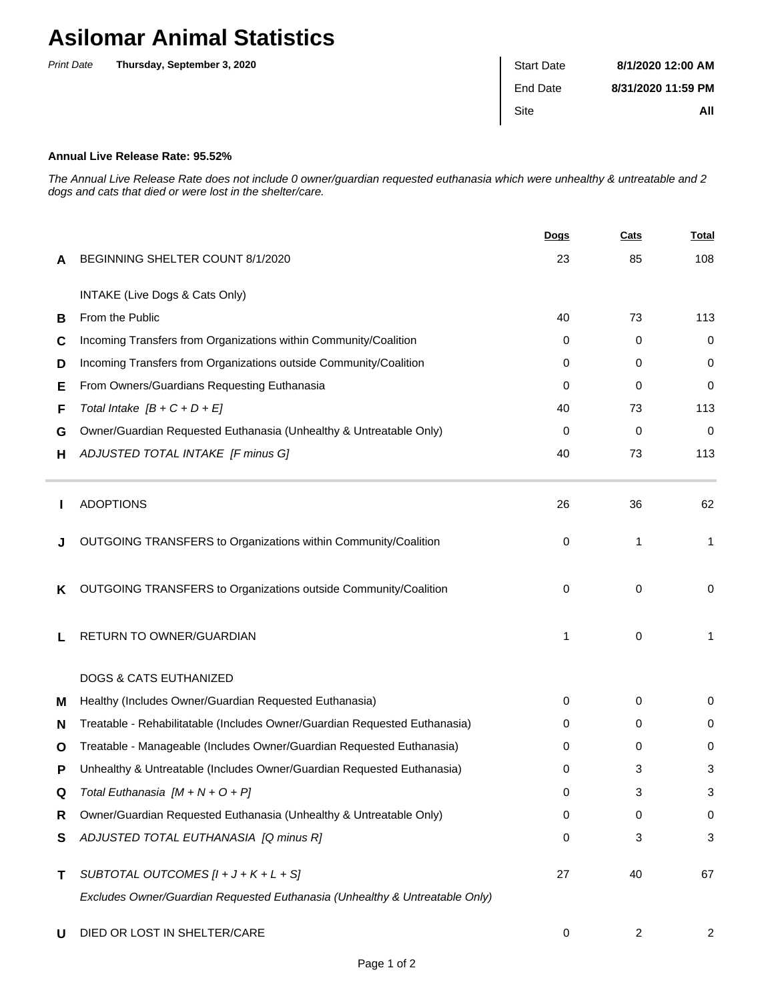## **Asilomar Animal Statistics**

| <b>Print Date</b> | Thursday, September 3, 2020 | <b>Start Date</b> | 8/1/2020 12:00 AM  |
|-------------------|-----------------------------|-------------------|--------------------|
|                   |                             | End Date          | 8/31/2020 11:59 PM |
|                   |                             | Site              | All                |
|                   |                             |                   |                    |

## **Annual Live Release Rate: 95.52%**

The Annual Live Release Rate does not include 0 owner/guardian requested euthanasia which were unhealthy & untreatable and 2 dogs and cats that died or were lost in the shelter/care.

|   |                                                                             | <u>Dogs</u> | <b>Cats</b> | <u>Total</u> |
|---|-----------------------------------------------------------------------------|-------------|-------------|--------------|
| A | BEGINNING SHELTER COUNT 8/1/2020                                            | 23          | 85          | 108          |
|   | INTAKE (Live Dogs & Cats Only)                                              |             |             |              |
| В | From the Public                                                             | 40          | 73          | 113          |
| С | Incoming Transfers from Organizations within Community/Coalition            | 0           | 0           | 0            |
| D | Incoming Transfers from Organizations outside Community/Coalition           | 0           | 0           | 0            |
| Е | From Owners/Guardians Requesting Euthanasia                                 | 0           | 0           | 0            |
| F | Total Intake $[B + C + D + E]$                                              | 40          | 73          | 113          |
| G | Owner/Guardian Requested Euthanasia (Unhealthy & Untreatable Only)          | 0           | 0           | 0            |
| н | ADJUSTED TOTAL INTAKE [F minus G]                                           | 40          | 73          | 113          |
|   | <b>ADOPTIONS</b>                                                            | 26          | 36          | 62           |
| J | OUTGOING TRANSFERS to Organizations within Community/Coalition              | 0           | 1           | 1            |
| Κ | OUTGOING TRANSFERS to Organizations outside Community/Coalition             | 0           | $\mathbf 0$ | 0            |
|   | RETURN TO OWNER/GUARDIAN                                                    | 1           | 0           | 1            |
|   | <b>DOGS &amp; CATS EUTHANIZED</b>                                           |             |             |              |
| м | Healthy (Includes Owner/Guardian Requested Euthanasia)                      | 0           | 0           | 0            |
| N | Treatable - Rehabilitatable (Includes Owner/Guardian Requested Euthanasia)  | 0           | 0           | 0            |
| O | Treatable - Manageable (Includes Owner/Guardian Requested Euthanasia)       | 0           | 0           | 0            |
| P | Unhealthy & Untreatable (Includes Owner/Guardian Requested Euthanasia)      | 0           | 3           | 3            |
|   | Total Euthanasia $[M + N + O + P]$                                          | 0           | 3           | 3            |
| R | Owner/Guardian Requested Euthanasia (Unhealthy & Untreatable Only)          | 0           | 0           | 0            |
| S | ADJUSTED TOTAL EUTHANASIA [Q minus R]                                       | 0           | 3           | 3            |
| т | SUBTOTAL OUTCOMES $[l + J + K + L + S]$                                     | 27          | 40          | 67           |
|   | Excludes Owner/Guardian Requested Euthanasia (Unhealthy & Untreatable Only) |             |             |              |
| U | DIED OR LOST IN SHELTER/CARE                                                | 0           | 2           | 2            |